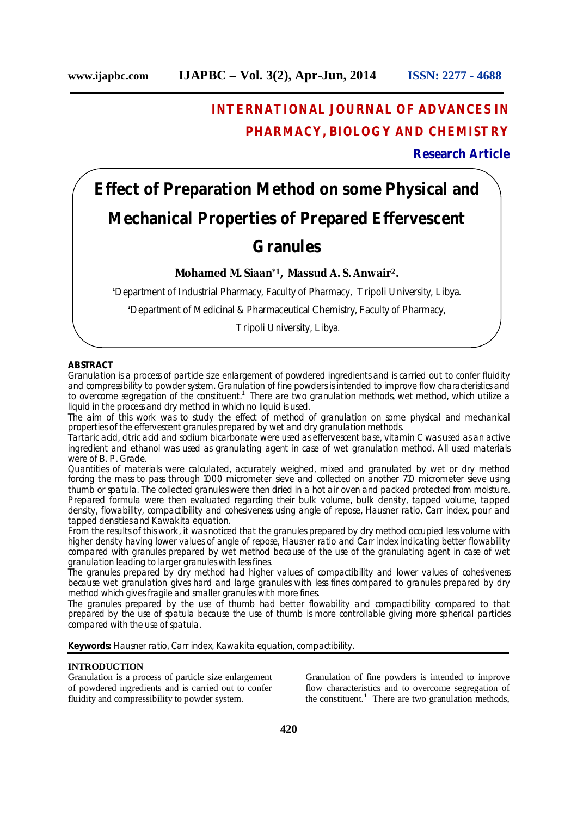# **INTERNATIONAL JOURNAL OF ADVANCES IN PHARMACY, BIOLOGY AND CHEMISTRY**

# **Research Article**

# **Effect of Preparation Method on some Physical and Mechanical Properties of Prepared Effervescent Granules**

**Mohamed M. Siaan\*1, Massud A. S. Anwair2.**

**<sup>1</sup>**Department of Industrial Pharmacy, Faculty of Pharmacy, Tripoli University, Libya.

**<sup>2</sup>**Department of Medicinal & Pharmaceutical Chemistry, Faculty of Pharmacy,

Tripoli University, Libya.

# **ABSTRACT**

Granulation is a process of particle size enlargement of powdered ingredients and is carried out to confer fluidity and compressibility to powder system. Granulation of fine powders is intended to improve flow characteristics and to overcome segregation of the constituent.<sup>1</sup> There are two granulation methods, wet method, which utilize a liquid in the process and dry method in which no liquid is used.

The aim of this work was to study the effect of method of granulation on some physical and mechanical properties of the effervescent granules prepared by wet and dry granulation methods.

Tartaric acid, citric acid and sodium bicarbonate were used as effervescent base, vitamin C was used as an active ingredient and ethanol was used as granulating agent in case of wet granulation method. All used materials were of B. P. Grade.

Quantities of materials were calculated, accurately weighed, mixed and granulated by wet or dry method forcing the mass to pass through 1000 micrometer sieve and collected on another 710 micrometer sieve using thumb or spatula. The collected granules were then dried in a hot air oven and packed protected from moisture. Prepared formula were then evaluated regarding their bulk volume, bulk density, tapped volume, tapped density, flowability, compactibility and cohesiveness using angle of repose, Hausner ratio, Carr index, pour and tapped densities and Kawakita equation.

From the results of this work, it was noticed that the granules prepared by dry method occupied less volume with higher density having lower values of angle of repose, Hausner ratio and Carr index indicating better flowability compared with granules prepared by wet method because of the use of the granulating agent in case of wet granulation leading to larger granules with less fines.

The granules prepared by dry method had higher values of compactibility and lower values of cohesiveness because wet granulation gives hard and large granules with less fines compared to granules prepared by dry method which gives fragile and smaller granules with more fines.

The granules prepared by the use of thumb had better flowability and compactibility compared to that prepared by the use of spatula because the use of thumb is more controllable giving more spherical particles compared with the use of spatula.

**Keywords:** Hausner ratio, Carr index, Kawakita equation, compactibility.

## **INTRODUCTION**

Granulation is a process of particle size enlargement of powdered ingredients and is carried out to confer fluidity and compressibility to powder system.

Granulation of fine powders is intended to improve flow characteristics and to overcome segregation of the constituent.**<sup>1</sup>** There are two granulation methods,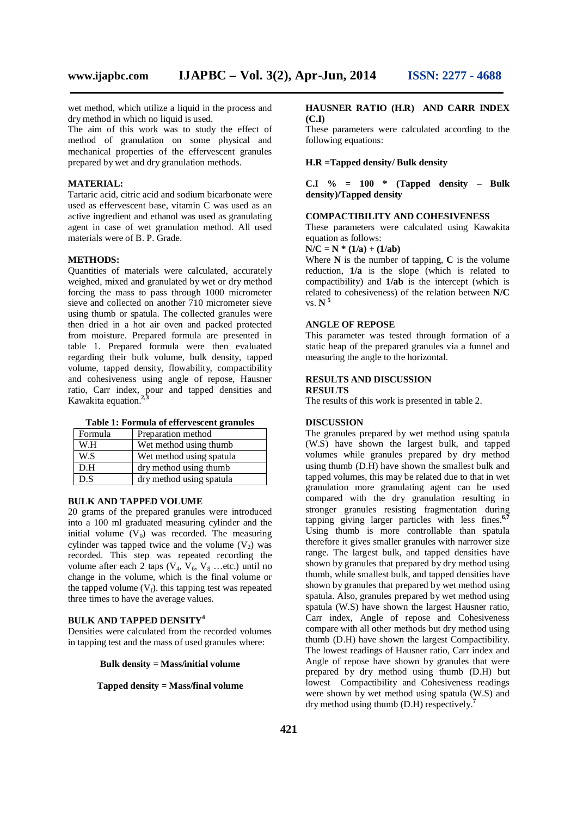wet method, which utilize a liquid in the process and dry method in which no liquid is used.

The aim of this work was to study the effect of method of granulation on some physical and mechanical properties of the effervescent granules prepared by wet and dry granulation methods.

#### **MATERIAL:**

Tartaric acid, citric acid and sodium bicarbonate were used as effervescent base, vitamin C was used as an active ingredient and ethanol was used as granulating agent in case of wet granulation method. All used materials were of B. P. Grade.

#### **METHODS:**

Quantities of materials were calculated, accurately weighed, mixed and granulated by wet or dry method forcing the mass to pass through 1000 micrometer sieve and collected on another 710 micrometer sieve using thumb or spatula. The collected granules were then dried in a hot air oven and packed protected from moisture. Prepared formula are presented in table 1. Prepared formula were then evaluated regarding their bulk volume, bulk density, tapped volume, tapped density, flowability, compactibility and cohesiveness using angle of repose, Hausner ratio, Carr index, pour and tapped densities and Kawakita equation.**2,3**

|  | Table 1: Formula of effervescent granules |
|--|-------------------------------------------|
|  |                                           |

| Formula | Preparation method       |  |
|---------|--------------------------|--|
| W.H     | Wet method using thumb   |  |
| W.S     | Wet method using spatula |  |
| D.H     | dry method using thumb   |  |
| D.S     | dry method using spatula |  |

#### **BULK AND TAPPED VOLUME**

20 grams of the prepared granules were introduced into a 100 ml graduated measuring cylinder and the initial volume  $(V_0)$  was recorded. The measuring cylinder was tapped twice and the volume  $(V_2)$  was recorded. This step was repeated recording the volume after each 2 taps  $(V_4, V_6, V_8 \dots$ etc.) until no change in the volume, which is the final volume or the tapped volume  $(V_f)$ , this tapping test was repeated three times to have the average values.

#### **BULK AND TAPPED DENSITY<sup>4</sup>**

Densities were calculated from the recorded volumes in tapping test and the mass of used granules where:

**Bulk density = Mass/initial volume**

**Tapped density = Mass/final volume**

#### **HAUSNER RATIO (H.R) AND CARR INDEX (C.I)**

These parameters were calculated according to the following equations:

#### **H.R =Tapped density/ Bulk density**

**C.I % = 100 \* (Tapped density – Bulk density)/Tapped density**

#### **COMPACTIBILITY AND COHESIVENESS**

These parameters were calculated using Kawakita equation as follows:

 $N/C = N * (1/a) + (1/ab)$ 

Where  $N$  is the number of tapping,  $C$  is the volume reduction, **1/a** is the slope (which is related to compactibility) and **1/ab** is the intercept (which is related to cohesiveness) of the relation between **N/C** vs. **N <sup>5</sup>**

#### **ANGLE OF REPOSE**

This parameter was tested through formation of a static heap of the prepared granules via a funnel and measuring the angle to the horizontal.

## **RESULTS AND DISCUSSION**

#### **RESULTS**

The results of this work is presented in table 2.

#### **DISCUSSION**

The granules prepared by wet method using spatula (W.S) have shown the largest bulk, and tapped volumes while granules prepared by dry method using thumb (D.H) have shown the smallest bulk and tapped volumes, this may be related due to that in wet granulation more granulating agent can be used compared with the dry granulation resulting in stronger granules resisting fragmentation during tapping giving larger particles with less fines.**6,7** Using thumb is more controllable than spatula therefore it gives smaller granules with narrower size range. The largest bulk, and tapped densities have shown by granules that prepared by dry method using thumb, while smallest bulk, and tapped densities have shown by granules that prepared by wet method using spatula. Also, granules prepared by wet method using spatula (W.S) have shown the largest Hausner ratio, Carr index, Angle of repose and Cohesiveness compare with all other methods but dry method using thumb (D.H) have shown the largest Compactibility. The lowest readings of Hausner ratio, Carr index and Angle of repose have shown by granules that were prepared by dry method using thumb (D.H) but lowest Compactibility and Cohesiveness readings were shown by wet method using spatula (W.S) and dry method using thumb (D.H) respectively.**<sup>7</sup>**